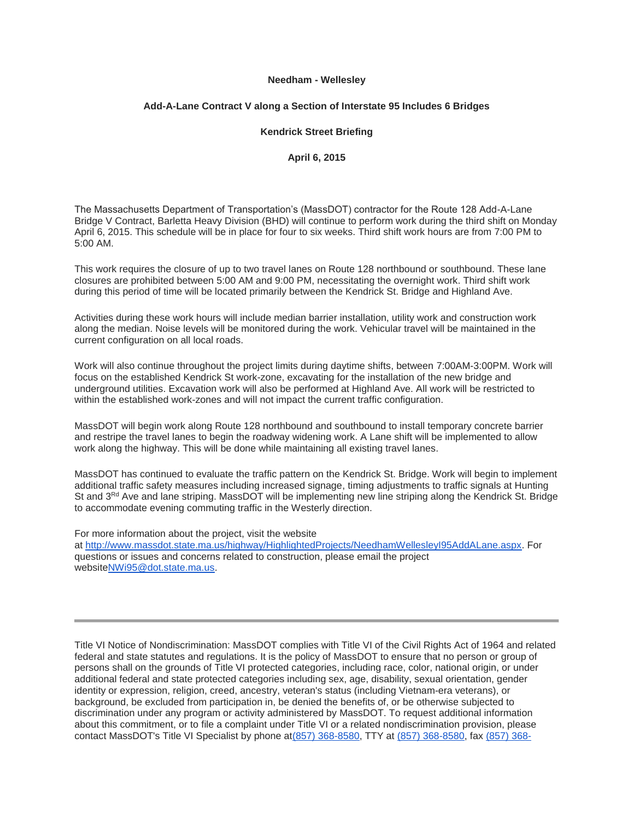## **Needham - Wellesley**

## **Add-A-Lane Contract V along a Section of Interstate 95 Includes 6 Bridges**

## **Kendrick Street Briefing**

**April 6, 2015**

The Massachusetts Department of Transportation's (MassDOT) contractor for the Route 128 Add-A-Lane Bridge V Contract, Barletta Heavy Division (BHD) will continue to perform work during the third shift on Monday April 6, 2015. This schedule will be in place for four to six weeks. Third shift work hours are from 7:00 PM to 5:00 AM.

This work requires the closure of up to two travel lanes on Route 128 northbound or southbound. These lane closures are prohibited between 5:00 AM and 9:00 PM, necessitating the overnight work. Third shift work during this period of time will be located primarily between the Kendrick St. Bridge and Highland Ave.

Activities during these work hours will include median barrier installation, utility work and construction work along the median. Noise levels will be monitored during the work. Vehicular travel will be maintained in the current configuration on all local roads.

Work will also continue throughout the project limits during daytime shifts, between 7:00AM-3:00PM. Work will focus on the established Kendrick St work-zone, excavating for the installation of the new bridge and underground utilities. Excavation work will also be performed at Highland Ave. All work will be restricted to within the established work-zones and will not impact the current traffic configuration.

MassDOT will begin work along Route 128 northbound and southbound to install temporary concrete barrier and restripe the travel lanes to begin the roadway widening work. A Lane shift will be implemented to allow work along the highway. This will be done while maintaining all existing travel lanes.

MassDOT has continued to evaluate the traffic pattern on the Kendrick St. Bridge. Work will begin to implement additional traffic safety measures including increased signage, timing adjustments to traffic signals at Hunting St and 3<sup>Rd</sup> Ave and lane striping. MassDOT will be implementing new line striping along the Kendrick St. Bridge to accommodate evening commuting traffic in the Westerly direction.

For more information about the project, visit the website at [http://www.massdot.state.ma.us/highway/HighlightedProjects/NeedhamWellesleyI95AddALane.aspx.](http://links.govdelivery.com/track?type=click&enid=ZWFzPTEmbWFpbGluZ2lkPTIwMTUwNDA2LjQzODE2NzIxJm1lc3NhZ2VpZD1NREItUFJELUJVTC0yMDE1MDQwNi40MzgxNjcyMSZkYXRhYmFzZWlkPTEwMDEmc2VyaWFsPTE3NDMxMzQ1JmVtYWlsaWQ9cnJjZXhlY0ByZWd1bGF0b3J5cmVzZWFyY2guY29tJnVzZXJpZD1ycmNleGVjQHJlZ3VsYXRvcnlyZXNlYXJjaC5jb20mZmw9JmV4dHJhPU11bHRpdmFyaWF0ZUlkPSYmJg==&&&100&&&http://www.massdot.state.ma.us/highway/HighlightedProjects/NeedhamWellesleyI95AddALane.aspx) For questions or issues and concerns related to construction, please email the project websit[eNWi95@dot.state.ma.us.](mailto:NWi95@dot.state.ma.us)

Title VI Notice of Nondiscrimination: MassDOT complies with Title VI of the Civil Rights Act of 1964 and related federal and state statutes and regulations. It is the policy of MassDOT to ensure that no person or group of persons shall on the grounds of Title VI protected categories, including race, color, national origin, or under additional federal and state protected categories including sex, age, disability, sexual orientation, gender identity or expression, religion, creed, ancestry, veteran's status (including Vietnam-era veterans), or background, be excluded from participation in, be denied the benefits of, or be otherwise subjected to discrimination under any program or activity administered by MassDOT. To request additional information about this commitment, or to file a complaint under Title VI or a related nondiscrimination provision, please contact MassDOT's Title VI Specialist by phone a[t\(857\) 368-8580,](tel:%28857%29%20368-8580) TTY at [\(857\) 368-8580,](tel:%28857%29%20368-8580) fax [\(857\) 368-](tel:%28857%29%20368-0602)